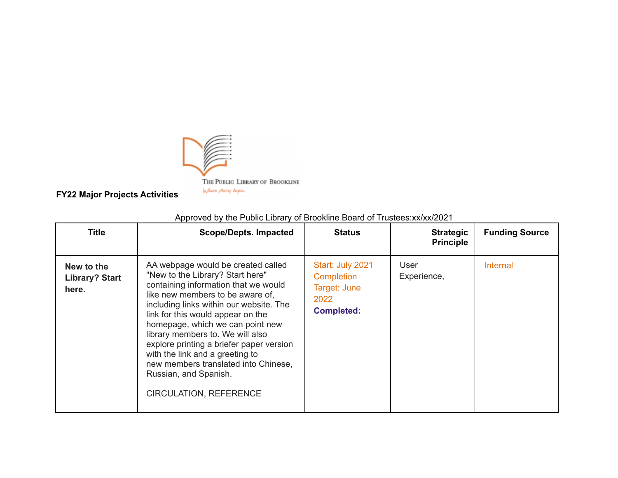

**FY22 Major Projects Activities**

| <b>Title</b>                                 | <b>Scope/Depts. Impacted</b>                                                                                                                                                                                                                                                                                                                                                                                                                                                                | <b>Status</b>                                                               | <b>Strategic</b><br><b>Principle</b> | <b>Funding Source</b> |
|----------------------------------------------|---------------------------------------------------------------------------------------------------------------------------------------------------------------------------------------------------------------------------------------------------------------------------------------------------------------------------------------------------------------------------------------------------------------------------------------------------------------------------------------------|-----------------------------------------------------------------------------|--------------------------------------|-----------------------|
| New to the<br><b>Library? Start</b><br>here. | AA webpage would be created called<br>"New to the Library? Start here"<br>containing information that we would<br>like new members to be aware of,<br>including links within our website. The<br>link for this would appear on the<br>homepage, which we can point new<br>library members to. We will also<br>explore printing a briefer paper version<br>with the link and a greeting to<br>new members translated into Chinese,<br>Russian, and Spanish.<br><b>CIRCULATION, REFERENCE</b> | Start: July 2021<br>Completion<br>Target: June<br>2022<br><b>Completed:</b> | User<br>Experience,                  | Internal              |

Approved by the Public Library of Brookline Board of Trustees:xx/xx/2021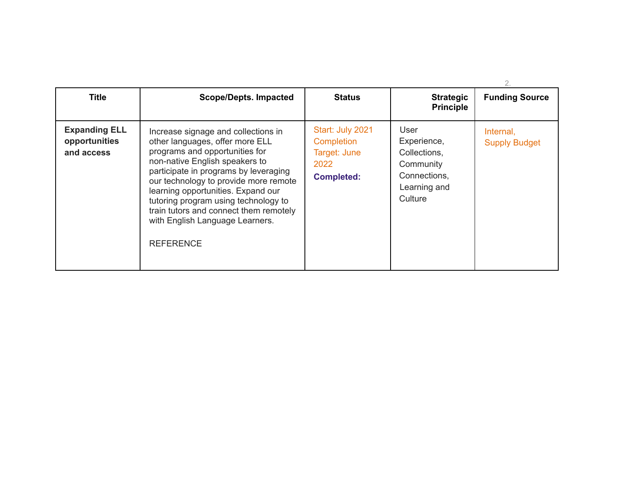| <b>Title</b>                                        | <b>Scope/Depts. Impacted</b>                                                                                                                                                                                                                                                                                                                                                                                | <b>Status</b>                                                               | <b>Strategic</b><br><b>Principle</b>                                                        | <b>Funding Source</b>             |
|-----------------------------------------------------|-------------------------------------------------------------------------------------------------------------------------------------------------------------------------------------------------------------------------------------------------------------------------------------------------------------------------------------------------------------------------------------------------------------|-----------------------------------------------------------------------------|---------------------------------------------------------------------------------------------|-----------------------------------|
| <b>Expanding ELL</b><br>opportunities<br>and access | Increase signage and collections in<br>other languages, offer more ELL<br>programs and opportunities for<br>non-native English speakers to<br>participate in programs by leveraging<br>our technology to provide more remote<br>learning opportunities. Expand our<br>tutoring program using technology to<br>train tutors and connect them remotely<br>with English Language Learners.<br><b>REFERENCE</b> | Start: July 2021<br>Completion<br>Target: June<br>2022<br><b>Completed:</b> | User<br>Experience,<br>Collections,<br>Community<br>Connections,<br>Learning and<br>Culture | Internal,<br><b>Supply Budget</b> |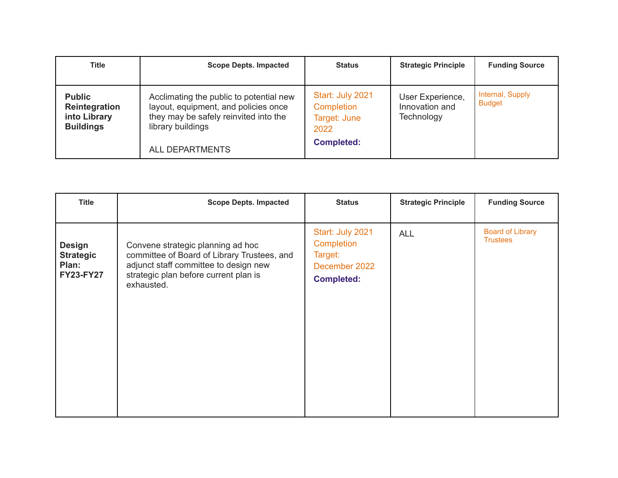| <b>Title</b>                                                       | <b>Scope Depts. Impacted</b>                                                                                                                                            | <b>Status</b>                                                               | <b>Strategic Principle</b>                       | <b>Funding Source</b>             |
|--------------------------------------------------------------------|-------------------------------------------------------------------------------------------------------------------------------------------------------------------------|-----------------------------------------------------------------------------|--------------------------------------------------|-----------------------------------|
| <b>Public</b><br>Reintegration<br>into Library<br><b>Buildings</b> | Acclimating the public to potential new<br>layout, equipment, and policies once<br>they may be safely reinvited into the<br>library buildings<br><b>ALL DEPARTMENTS</b> | Start: July 2021<br>Completion<br>Target: June<br>2022<br><b>Completed:</b> | User Experience,<br>Innovation and<br>Technology | Internal, Supply<br><b>Budget</b> |

| <b>Title</b>                                                   | <b>Scope Depts. Impacted</b>                                                                                                                                                     | <b>Status</b>                                                                   | <b>Strategic Principle</b> | <b>Funding Source</b>                      |
|----------------------------------------------------------------|----------------------------------------------------------------------------------------------------------------------------------------------------------------------------------|---------------------------------------------------------------------------------|----------------------------|--------------------------------------------|
| <b>Design</b><br><b>Strategic</b><br>Plan:<br><b>FY23-FY27</b> | Convene strategic planning ad hoc<br>committee of Board of Library Trustees, and<br>adjunct staff committee to design new<br>strategic plan before current plan is<br>exhausted. | Start: July 2021<br>Completion<br>Target:<br>December 2022<br><b>Completed:</b> | <b>ALL</b>                 | <b>Board of Library</b><br><b>Trustees</b> |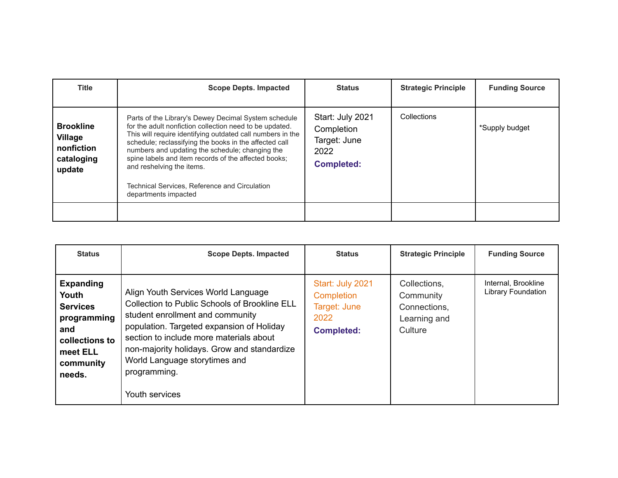| <b>Title</b>                                                             | <b>Scope Depts. Impacted</b>                                                                                                                                                                                                                                                                                                                                                                                                                             | <b>Status</b>                                                               | <b>Strategic Principle</b> | <b>Funding Source</b> |
|--------------------------------------------------------------------------|----------------------------------------------------------------------------------------------------------------------------------------------------------------------------------------------------------------------------------------------------------------------------------------------------------------------------------------------------------------------------------------------------------------------------------------------------------|-----------------------------------------------------------------------------|----------------------------|-----------------------|
| <b>Brookline</b><br><b>Village</b><br>nonfiction<br>cataloging<br>update | Parts of the Library's Dewey Decimal System schedule<br>for the adult nonfiction collection need to be updated.<br>This will require identifying outdated call numbers in the<br>schedule; reclassifying the books in the affected call<br>numbers and updating the schedule; changing the<br>spine labels and item records of the affected books;<br>and reshelving the items.<br>Technical Services, Reference and Circulation<br>departments impacted | Start: July 2021<br>Completion<br>Target: June<br>2022<br><b>Completed:</b> | Collections                | *Supply budget        |
|                                                                          |                                                                                                                                                                                                                                                                                                                                                                                                                                                          |                                                                             |                            |                       |

| <b>Status</b>                                                                                                           | <b>Scope Depts. Impacted</b>                                                                                                                                                                                                                                                                                                       | <b>Status</b>                                                               | <b>Strategic Principle</b>                                           | <b>Funding Source</b>                     |
|-------------------------------------------------------------------------------------------------------------------------|------------------------------------------------------------------------------------------------------------------------------------------------------------------------------------------------------------------------------------------------------------------------------------------------------------------------------------|-----------------------------------------------------------------------------|----------------------------------------------------------------------|-------------------------------------------|
| <b>Expanding</b><br>Youth<br><b>Services</b><br>programming<br>and<br>collections to<br>meet ELL<br>community<br>needs. | Align Youth Services World Language<br>Collection to Public Schools of Brookline ELL<br>student enrollment and community<br>population. Targeted expansion of Holiday<br>section to include more materials about<br>non-majority holidays. Grow and standardize<br>World Language storytimes and<br>programming.<br>Youth services | Start: July 2021<br>Completion<br>Target: June<br>2022<br><b>Completed:</b> | Collections,<br>Community<br>Connections,<br>Learning and<br>Culture | Internal, Brookline<br>Library Foundation |